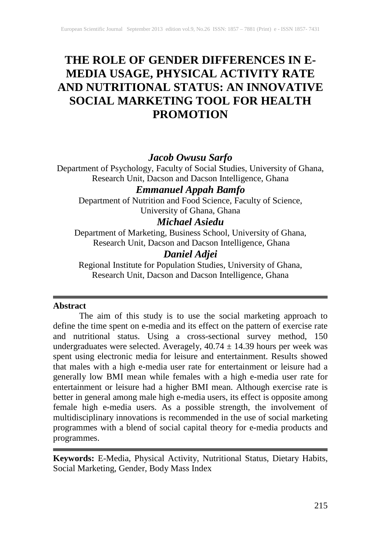# **THE ROLE OF GENDER DIFFERENCES IN E-MEDIA USAGE, PHYSICAL ACTIVITY RATE AND NUTRITIONAL STATUS: AN INNOVATIVE SOCIAL MARKETING TOOL FOR HEALTH PROMOTION**

## *Jacob Owusu Sarfo*

Department of Psychology, Faculty of Social Studies, University of Ghana, Research Unit, Dacson and Dacson Intelligence, Ghana

## *Emmanuel Appah Bamfo*

Department of Nutrition and Food Science, Faculty of Science, University of Ghana, Ghana

## *Michael Asiedu*

Department of Marketing, Business School, University of Ghana, Research Unit, Dacson and Dacson Intelligence, Ghana

# *Daniel Adjei*

Regional Institute for Population Studies, University of Ghana, Research Unit, Dacson and Dacson Intelligence, Ghana

#### **Abstract**

The aim of this study is to use the social marketing approach to define the time spent on e-media and its effect on the pattern of exercise rate and nutritional status. Using a cross-sectional survey method, 150 undergraduates were selected. Averagely,  $40.74 \pm 14.39$  hours per week was spent using electronic media for leisure and entertainment. Results showed that males with a high e-media user rate for entertainment or leisure had a generally low BMI mean while females with a high e-media user rate for entertainment or leisure had a higher BMI mean. Although exercise rate is better in general among male high e-media users, its effect is opposite among female high e-media users. As a possible strength, the involvement of multidisciplinary innovations is recommended in the use of social marketing programmes with a blend of social capital theory for e-media products and programmes.

**Keywords:** E-Media, Physical Activity, Nutritional Status, Dietary Habits, Social Marketing, Gender, Body Mass Index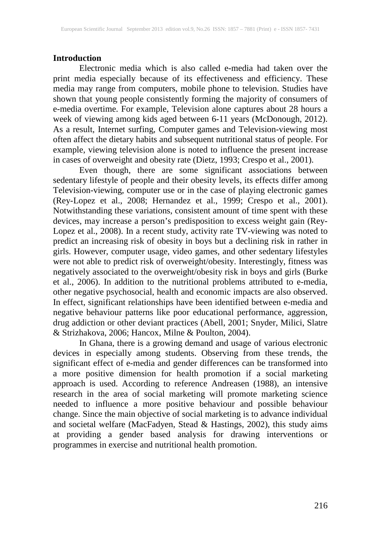#### **Introduction**

Electronic media which is also called e-media had taken over the print media especially because of its effectiveness and efficiency. These print media especially because of its effectiveness and efficiency. These media may range from computers, mobile phone to television. Studies have shown that young people consistently forming the majority of consumers of e-media overtime. For example, Television alone captures about 28 hours a week of viewing among kids aged between 6-11 years (McDonough, 2012). As a result, Internet surfing, Computer games and Television-viewing most often affect the dietary habits and subsequent nutritional status of people. For example, viewing television alone is noted to influence the present increase in cases of overweight and obesity rate (Dietz, 1993; Crespo et al., 2001).

Even though, there are some significant associations between sedentary lifestyle of people and their obesity levels, its effects differ among Television-viewing, computer use or in the case of playing electronic games (Rey-Lopez et al., 2008; Hernandez et al., 1999; Crespo et al., 2001). Notwithstanding these variations, consistent amount of time spent with these devices, may increase a person's predisposition to excess weight gain (Rey-Lopez et al., 2008). In a recent study, activity rate TV-viewing was noted to predict an increasing risk of obesity in boys but a declining risk in rather in girls. However, computer usage, video games, and other sedentary lifestyles were not able to predict risk of overweight/obesity. Interestingly, fitness was negatively associated to the overweight/obesity risk in boys and girls (Burke et al., 2006). In addition to the nutritional problems attributed to e-media, other negative psychosocial, health and economic impacts are also observed. In effect, significant relationships have been identified between e-media and negative behaviour patterns like poor educational performance, aggression, drug addiction or other deviant practices (Abell, 2001; Snyder, Milici, Slatre & Strizhakova, 2006; Hancox, Milne & Poulton, 2004).

In Ghana, there is a growing demand and usage of various electronic devices in especially among students. Observing from these trends, the significant effect of e-media and gender differences can be transformed into a more positive dimension for health promotion if a social marketing approach is used. According to reference Andreasen (1988), an intensive research in the area of social marketing will promote marketing science needed to influence a more positive behaviour and possible behaviour change. Since the main objective of social marketing is to advance individual and societal welfare (MacFadyen, Stead & Hastings, 2002), this study aims at providing a gender based analysis for drawing interventions or programmes in exercise and nutritional health promotion.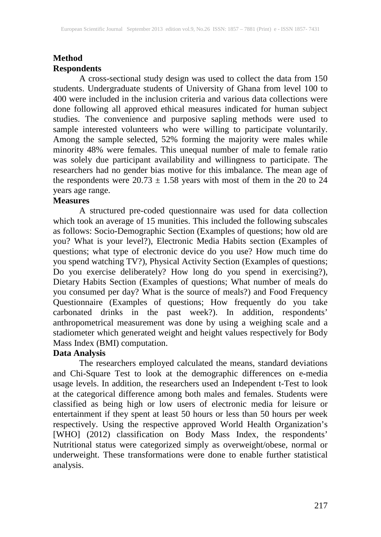#### **Method Respondents**

A cross-sectional study design was used to collect the data from 150 students. Undergraduate students of University of Ghana from level 100 to 400 were included in the inclusion criteria and various data collections were done following all approved ethical measures indicated for human subject studies. The convenience and purposive sapling methods were used to sample interested volunteers who were willing to participate voluntarily. Among the sample selected, 52% forming the majority were males while minority 48% were females. This unequal number of male to female ratio was solely due participant availability and willingness to participate. The researchers had no gender bias motive for this imbalance. The mean age of the respondents were  $20.73 \pm 1.58$  years with most of them in the 20 to 24 years age range.

#### **Measures**

A structured pre-coded questionnaire was used for data collection which took an average of 15 munities. This included the following subscales as follows: Socio-Demographic Section (Examples of questions; how old are you? What is your level?), Electronic Media Habits section (Examples of questions; what type of electronic device do you use? How much time do you spend watching TV?), Physical Activity Section (Examples of questions; Do you exercise deliberately? How long do you spend in exercising?), Dietary Habits Section (Examples of questions; What number of meals do you consumed per day? What is the source of meals?) and Food Frequency Questionnaire (Examples of questions; How frequently do you take carbonated drinks in the past week?). In addition, respondents' anthropometrical measurement was done by using a weighing scale and a stadiometer which generated weight and height values respectively for Body Mass Index (BMI) computation.

#### **Data Analysis**

The researchers employed calculated the means, standard deviations and Chi-Square Test to look at the demographic differences on e-media usage levels. In addition, the researchers used an Independent t-Test to look at the categorical difference among both males and females. Students were classified as being high or low users of electronic media for leisure or entertainment if they spent at least 50 hours or less than 50 hours per week respectively. Using the respective approved World Health Organization's [WHO] (2012) classification on Body Mass Index, the respondents' Nutritional status were categorized simply as overweight/obese, normal or underweight. These transformations were done to enable further statistical analysis.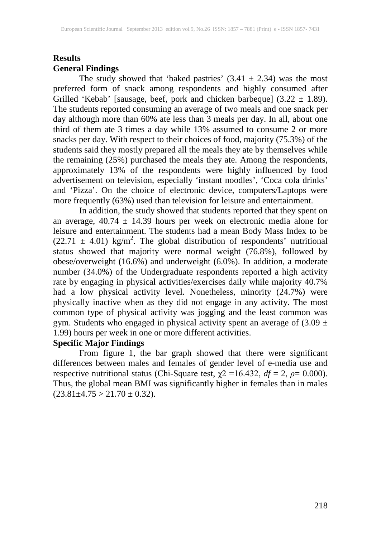### **Results General Findings**

The study showed that 'baked pastries'  $(3.41 \pm 2.34)$  was the most preferred form of snack among respondents and highly consumed after Grilled 'Kebab' [sausage, beef, pork and chicken barbeque]  $(3.22 \pm 1.89)$ . The students reported consuming an average of two meals and one snack per day although more than 60% ate less than 3 meals per day. In all, about one third of them ate 3 times a day while 13% assumed to consume 2 or more snacks per day. With respect to their choices of food, majority (75.3%) of the students said they mostly prepared all the meals they ate by themselves while the remaining (25%) purchased the meals they ate. Among the respondents, approximately 13% of the respondents were highly influenced by food advertisement on television, especially 'instant noodles', 'Coca cola drinks' and 'Pizza'. On the choice of electronic device, computers/Laptops were more frequently (63%) used than television for leisure and entertainment.

In addition, the study showed that students reported that they spent on an average,  $40.74 \pm 14.39$  hours per week on electronic media alone for leisure and entertainment. The students had a mean Body Mass Index to be  $(22.71 \pm 4.01)$  kg/m<sup>2</sup>. The global distribution of respondents' nutritional status showed that majority were normal weight (76.8%), followed by obese/overweight (16.6%) and underweight (6.0%). In addition, a moderate number (34.0%) of the Undergraduate respondents reported a high activity rate by engaging in physical activities/exercises daily while majority 40.7% had a low physical activity level. Nonetheless, minority (24.7%) were physically inactive when as they did not engage in any activity. The most common type of physical activity was jogging and the least common was gym. Students who engaged in physical activity spent an average of  $(3.09 \pm 1)$ 1.99) hours per week in one or more different activities.

# **Specific Major Findings**

From figure 1, the bar graph showed that there were significant differences between males and females of gender level of e-media use and respective nutritional status (Chi-Square test,  $\chi$ 2 =16.432,  $df = 2$ ,  $\rho$ = 0.000). Thus, the global mean BMI was significantly higher in females than in males  $(23.81 \pm 4.75 > 21.70 \pm 0.32).$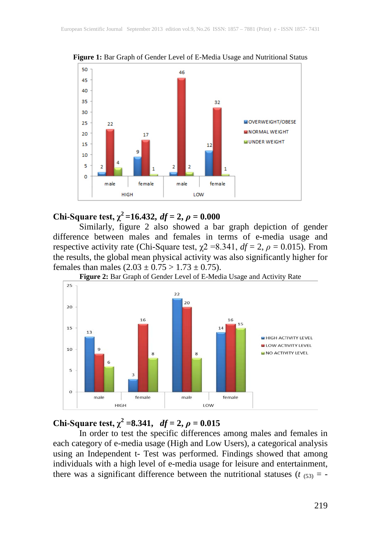

**Figure 1:** Bar Graph of Gender Level of E-Media Usage and Nutritional Status

## **Chi-Square test,**  $\chi^2$ =16.432, *df* = 2,  $\rho$  = 0.000

Similarly, figure 2 also showed a bar graph depiction of gender difference between males and females in terms of e-media usage and respective activity rate (Chi-Square test,  $\chi$ 2 =8.341,  $df = 2$ ,  $\rho = 0.015$ ). From the results, the global mean physical activity was also significantly higher for females than males  $(2.03 \pm 0.75 > 1.73 \pm 0.75)$ .



**Figure 2:** Bar Graph of Gender Level of E-Media Usage and Activity Rate

## **Chi-Square test,**  $\chi^2$  =8.341,  $df = 2$ ,  $\rho = 0.015$

In order to test the specific differences among males and females in each category of e-media usage (High and Low Users), a categorical analysis using an Independent t- Test was performed. Findings showed that among individuals with a high level of e-media usage for leisure and entertainment, there was a significant difference between the nutritional statuses  $(t_{.63)} = -$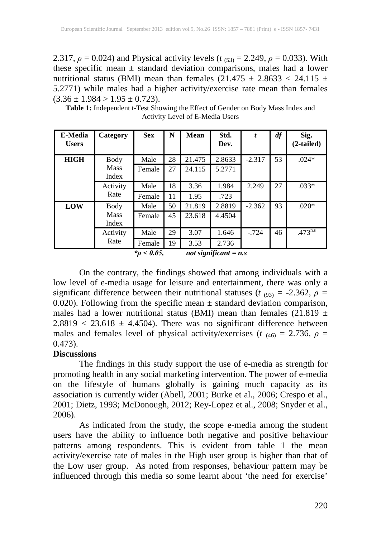2.317,  $\rho = 0.024$ ) and Physical activity levels ( $t_{(53)} = 2.249$ ,  $\rho = 0.033$ ). With these specific mean  $\pm$  standard deviation comparisons, males had a lower nutritional status (BMI) mean than females (21.475  $\pm$  2.8633 < 24.115  $\pm$ 5.2771) while males had a higher activity/exercise rate mean than females  $(3.36 \pm 1.984 > 1.95 \pm 0.723).$ 

| <b>E-Media</b><br><b>Users</b> | Category             | <b>Sex</b> | N  | <b>Mean</b> | Std.<br>Dev. | t        | df | Sig.<br>(2-tailed)      |
|--------------------------------|----------------------|------------|----|-------------|--------------|----------|----|-------------------------|
| <b>HIGH</b>                    | Body                 | Male       | 28 | 21.475      | 2.8633       | $-2.317$ | 53 | $.024*$                 |
|                                | <b>Mass</b><br>Index | Female     | 27 | 24.115      | 5.2771       |          |    |                         |
|                                | Activity             | Male       | 18 | 3.36        | 1.984        | 2.249    | 27 | $.033*$                 |
|                                | Rate                 | Female     | 11 | 1.95        | .723         |          |    |                         |
| <b>LOW</b>                     | Body                 | Male       | 50 | 21.819      | 2.8819       | $-2.362$ | 93 | $.020*$                 |
|                                | <b>Mass</b><br>Index | Female     | 45 | 23.618      | 4.4504       |          |    |                         |
|                                | Activity             | Male       | 29 | 3.07        | 1.646        | $-.724$  | 46 | $.473^{n.\overline{s}}$ |
|                                | Rate                 | Female     | 19 | 3.53        | 2.736        |          |    |                         |

**Table 1:** Independent t-Test Showing the Effect of Gender on Body Mass Index and Activity Level of E-Media Users

*\*ρ < 0.05, not significant = n.s*

On the contrary, the findings showed that among individuals with a low level of e-media usage for leisure and entertainment, there was only a significant difference between their nutritional statuses ( $t_{(93)}$  = -2.362,  $\rho$  =  $0.020$ ). Following from the specific mean  $\pm$  standard deviation comparison, males had a lower nutritional status (BMI) mean than females (21.819  $\pm$  $2.8819 < 23.618 \pm 4.4504$ ). There was no significant difference between males and females level of physical activity/exercises ( $t_{(46)} = 2.736$ ,  $\rho =$  $0.473$ ).

#### **Discussions**

The findings in this study support the use of e-media as strength for promoting health in any social marketing intervention. The power of e-media on the lifestyle of humans globally is gaining much capacity as its association is currently wider (Abell, 2001; Burke et al., 2006; Crespo et al., 2001; Dietz, 1993; McDonough, 2012; Rey-Lopez et al., 2008; Snyder et al., 2006).

As indicated from the study, the scope e-media among the student users have the ability to influence both negative and positive behaviour patterns among respondents. This is evident from table 1 the mean activity/exercise rate of males in the High user group is higher than that of the Low user group. As noted from responses, behaviour pattern may be influenced through this media so some learnt about 'the need for exercise'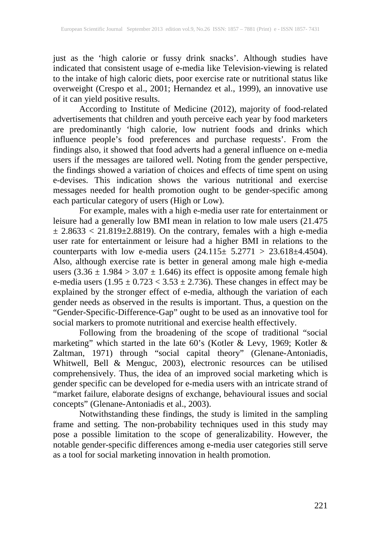just as the 'high calorie or fussy drink snacks'. Although studies have indicated that consistent usage of e-media like Television-viewing is related to the intake of high caloric diets, poor exercise rate or nutritional status like overweight (Crespo et al., 2001; Hernandez et al., 1999), an innovative use of it can yield positive results.

According to Institute of Medicine (2012), majority of food-related advertisements that children and youth perceive each year by food marketers are predominantly 'high calorie, low nutrient foods and drinks which influence people's food preferences and purchase requests'. From the findings also, it showed that food adverts had a general influence on e-media users if the messages are tailored well. Noting from the gender perspective, the findings showed a variation of choices and effects of time spent on using e-devises. This indication shows the various nutritional and exercise messages needed for health promotion ought to be gender-specific among each particular category of users (High or Low).

For example, males with a high e-media user rate for entertainment or leisure had a generally low BMI mean in relation to low male users (21.475  $\pm$  2.8633 < 21.819 $\pm$ 2.8819). On the contrary, females with a high e-media user rate for entertainment or leisure had a higher BMI in relations to the counterparts with low e-media users  $(24.115 \pm 5.2771 > 23.618 \pm 4.4504)$ . Also, although exercise rate is better in general among male high e-media users  $(3.36 \pm 1.984 > 3.07 \pm 1.646)$  its effect is opposite among female high e-media users  $(1.95 \pm 0.723 < 3.53 \pm 2.736)$ . These changes in effect may be explained by the stronger effect of e-media, although the variation of each gender needs as observed in the results is important. Thus, a question on the "Gender-Specific-Difference-Gap" ought to be used as an innovative tool for social markers to promote nutritional and exercise health effectively.

Following from the broadening of the scope of traditional "social marketing" which started in the late 60's (Kotler & Levy, 1969; Kotler & Zaltman, 1971) through "social capital theory" (Glenane-Antoniadis, Whitwell, Bell & Menguc, 2003), electronic resources can be utilised comprehensively. Thus, the idea of an improved social marketing which is gender specific can be developed for e-media users with an intricate strand of "market failure, elaborate designs of exchange, behavioural issues and social concepts" (Glenane-Antoniadis et al., 2003).

Notwithstanding these findings, the study is limited in the sampling frame and setting. The non-probability techniques used in this study may pose a possible limitation to the scope of generalizability. However, the notable gender-specific differences among e-media user categories still serve as a tool for social marketing innovation in health promotion.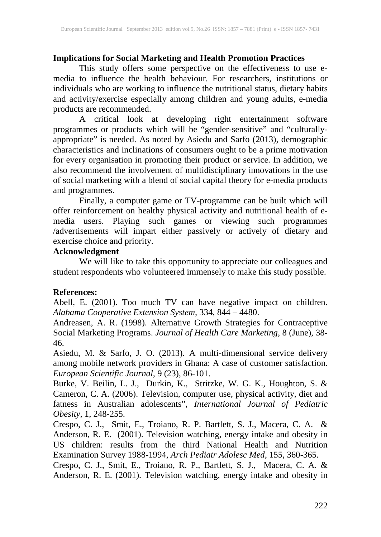#### **Implications for Social Marketing and Health Promotion Practices**

This study offers some perspective on the effectiveness to use emedia to influence the health behaviour. For researchers, institutions or individuals who are working to influence the nutritional status, dietary habits and activity/exercise especially among children and young adults, e-media products are recommended.

A critical look at developing right entertainment software programmes or products which will be "gender-sensitive" and "culturallyappropriate" is needed. As noted by Asiedu and Sarfo (2013), demographic characteristics and inclinations of consumers ought to be a prime motivation for every organisation in promoting their product or service. In addition, we also recommend the involvement of multidisciplinary innovations in the use of social marketing with a blend of social capital theory for e-media products and programmes.

Finally, a computer game or TV-programme can be built which will offer reinforcement on healthy physical activity and nutritional health of emedia users. Playing such games or viewing such programmes /advertisements will impart either passively or actively of dietary and exercise choice and priority.

## **Acknowledgment**

We will like to take this opportunity to appreciate our colleagues and student respondents who volunteered immensely to make this study possible.

#### **References:**

Abell, E. (2001). Too much TV can have negative impact on children. *Alabama Cooperative Extension System,* 334, 844 – 4480.

Andreasen, A. R. (1998). Alternative Growth Strategies for Contraceptive Social Marketing Programs. *Journal of Health Care Marketing*, 8 (June), 38- 46.

Asiedu, M. & Sarfo, J. O. (2013). A multi-dimensional service delivery among mobile network providers in Ghana: A case of customer satisfaction. *European Scientific Journal*, 9 (23), 86-101.

Burke, V. Beilin, L. J., Durkin, K., Stritzke, W. G. K., Houghton, S. & Cameron, C. A. (2006). Television, computer use, physical activity, diet and fatness in Australian adolescents", *International Journal of Pediatric Obesity*, 1, 248-255.

Crespo, C. J., Smit, E., Troiano, R. P. Bartlett, S. J., Macera, C. A. & Anderson, R. E. (2001). Television watching, energy intake and obesity in US children: results from the third National Health and Nutrition Examination Survey 1988-1994, *Arch Pediatr Adolesc Med*, 155, 360-365.

Crespo, C. J., Smit, E., Troiano, R. P., Bartlett, S. J., Macera, C. A. & Anderson, R. E. (2001). Television watching, energy intake and obesity in